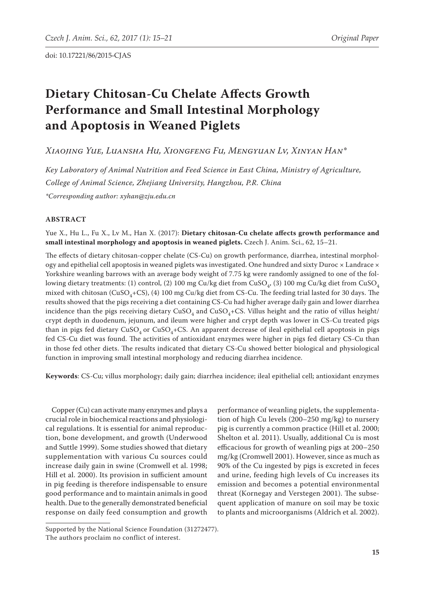# **Dietary Chitosan-Cu Chelate Affects Growth Performance and Small Intestinal Morphology and Apoptosis in Weaned Piglets**

*Xiaojing Yue, Luansha Hu, Xiongfeng Fu, Mengyuan Lv, Xinyan Han\**

*Key Laboratory of Animal Nutrition and Feed Science in East China, Ministry of Agriculture, College of Animal Science, Zhejiang University, Hangzhou, P.R. China \*Corresponding author: xyhan@zju.edu.cn*

## **ABSTRACT**

Yue X., Hu L., Fu X., Lv M., Han X. (2017): **Dietary chitosan-Cu chelate affects growth performance and small intestinal morphology and apoptosis in weaned piglets.** Czech J. Anim. Sci., 62, 15–21.

The effects of dietary chitosan-copper chelate (CS-Cu) on growth performance, diarrhea, intestinal morphology and epithelial cell apoptosis in weaned piglets was investigated. One hundred and sixty Duroc × Landrace × Yorkshire weanling barrows with an average body weight of 7.75 kg were randomly assigned to one of the following dietary treatments: (1) control, (2) 100 mg Cu/kg diet from CuSO<sub>4</sub>, (3) 100 mg Cu/kg diet from CuSO<sub>4</sub> mixed with chitosan ( $CuSO<sub>4</sub>+CS$ ), (4) 100 mg Cu/kg diet from CS-Cu. The feeding trial lasted for 30 days. The results showed that the pigs receiving a diet containing CS-Cu had higher average daily gain and lower diarrhea incidence than the pigs receiving dietary  $CuSO<sub>4</sub>$  and  $CuSO<sub>4</sub>+CS$ . Villus height and the ratio of villus height/ crypt depth in duodenum, jejunum, and ileum were higher and crypt depth was lower in CS-Cu treated pigs than in pigs fed dietary CuSO<sub>4</sub> or CuSO<sub>4</sub>+CS. An apparent decrease of ileal epithelial cell apoptosis in pigs fed CS-Cu diet was found. The activities of antioxidant enzymes were higher in pigs fed dietary CS-Cu than in those fed other diets. The results indicated that dietary CS-Cu showed better biological and physiological function in improving small intestinal morphology and reducing diarrhea incidence.

**Keywords**: CS-Cu; villus morphology; daily gain; diarrhea incidence; ileal epithelial cell; antioxidant enzymes

Copper (Cu) can activate many enzymes and plays a crucial role in biochemical reactions and physiological regulations. It is essential for animal reproduction, bone development, and growth (Underwood and Suttle 1999). Some studies showed that dietary supplementation with various Cu sources could increase daily gain in swine (Cromwell et al. 1998; Hill et al. 2000). Its provision in sufficient amount in pig feeding is therefore indispensable to ensure good performance and to maintain animals in good health. Due to the generally demonstrated beneficial response on daily feed consumption and growth

performance of weanling piglets, the supplementation of high Cu levels (200–250 mg/kg) to nursery pig is currently a common practice (Hill et al. 2000; Shelton et al. 2011). Usually, additional Cu is most efficacious for growth of weanling pigs at 200–250 mg/kg (Cromwell 2001). However, since as much as 90% of the Cu ingested by pigs is excreted in feces and urine, feeding high levels of Cu increases its emission and becomes a potential environmental threat (Kornegay and Verstegen 2001). The subsequent application of manure on soil may be toxic to plants and microorganisms (Aldrich et al. 2002).

Supported by the National Science Foundation (31272477). The authors proclaim no conflict of interest.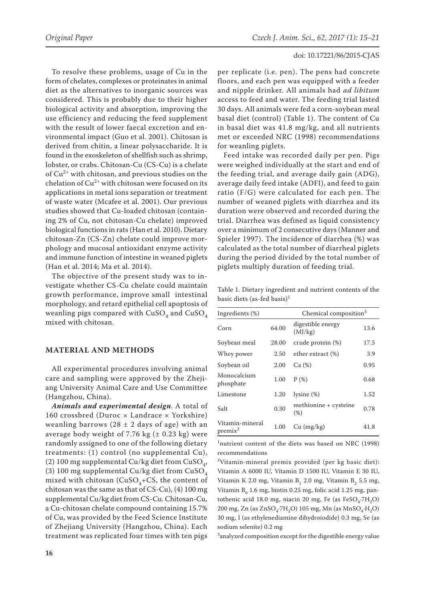To resolve these problems, usage of Cu in the form of chelates, complexes or proteinates in animal diet as the alternatives to inorganic sources was considered. This is probably due to their higher biological activity and absorption, improving the use efficiency and reducing the feed supplement with the result of lower faecal excretion and environmental impact (Guo et al. 2001). Chitosan is derived from chitin, a linear polysaccharide. It is found in the exoskeleton of shellfish such as shrimp, lobster, or crabs. Chitosan-Cu (CS-Cu) is a chelate of  $Cu^{2+}$  with chitosan, and previous studies on the chelation of  $Cu^{2+}$  with chitosan were focused on its applications in metal ions separation or treatment of waste water (Mcafee et al. 2001). Our previous studies showed that Cu-loaded chitosan (containing 2% of Cu, not chitosan-Cu chelate) improved biological functions in rats (Han et al. 2010). Dietary chitosan-Zn (CS-Zn) chelate could improve morphology and mucosal antioxidant enzyme activity and immune function of intestine in weaned piglets (Han et al. 2014; Ma et al. 2014).

The objective of the present study was to investigate whether CS-Cu chelate could maintain growth performance, improve small intestinal morphology, and retard epithelial cell apoptosis of weanling pigs compared with  $CuSO<sub>4</sub>$  and  $CuSO<sub>4</sub>$ mixed with chitosan.

# **MATERIAL AND METHODS**

All experimental procedures involving animal care and sampling were approved by the Zhejiang University Animal Care and Use Committee (Hangzhou, China).

*Animals and experimental design.* A total of 160 crossbred (Duroc × Landrace × Yorkshire) weanling barrows (28  $\pm$  2 days of age) with an average body weight of 7.76 kg  $(± 0.23 kg)$  were randomly assigned to one of the following dietary treatments: (1) control (no supplemental Cu), (2) 100 mg supplemental Cu/kg diet from CuSO<sub>4</sub>, (3) 100 mg supplemental Cu/kg diet from  $\mathrm{CuSO}_{\scriptscriptstyle{A}}$ mixed with chitosan ( $CuSO<sub>4</sub>+CS$ , the content of chitosan was the same as that of CS-Cu), (4) 100 mg supplemental Cu/kg diet from CS-Cu. Chitosan-Cu, a Cu-chitosan chelate compound containing 15.7% of Cu, was provided by the Feed Science Institute of Zhejiang University (Hangzhou, China). Each treatment was replicated four times with ten pigs

per replicate (i.e. pen). The pens had concrete floors, and each pen was equipped with a feeder and nipple drinker. All animals had *ad libitum* access to feed and water. The feeding trial lasted 30 days. All animals were fed a corn-soybean meal basal diet (control) (Table 1). The content of Cu in basal diet was 41.8 mg/kg, and all nutrients met or exceeded NRC (1998) recommendations for weanling piglets.

Feed intake was recorded daily per pen. Pigs were weighed individually at the start and end of the feeding trial, and average daily gain (ADG), average daily feed intake (ADFI), and feed to gain ratio (F/G) were calculated for each pen. The number of weaned piglets with diarrhea and its duration were observed and recorded during the trial. Diarrhea was defined as liquid consistency over a minimum of 2 consecutive days (Manner and Spieler 1997). The incidence of diarrhea (%) was calculated as the total number of diarrheal piglets during the period divided by the total number of piglets multiply duration of feeding trial.

Table 1. Dietary ingredient and nutrient contents of the basic diets (as-fed basis)<sup>1</sup>

| Ingredients (%)               | Chemical composition <sup>3</sup> |                               |      |
|-------------------------------|-----------------------------------|-------------------------------|------|
| Corn                          | 64.00                             | digestible energy<br>(MJ/kg)  | 13.6 |
| Soybean meal                  | 28.00                             | crude protein (%)             | 17.5 |
| Whey power                    | 2.50                              | ether extract (%)             | 3.9  |
| Soybean oil                   | 2.00                              | Ca(%)                         | 0.95 |
| Monocalcium<br>phosphate      | 1.00                              | P(%)                          | 0.68 |
| Limestone                     | 1.20                              | lysine(%)                     | 1.52 |
| Salt                          | 0.30                              | methionine + cysteine<br>(% ) | 0.78 |
| Vitamin-mineral<br>$premix^2$ | 1.00                              | $Cu$ (mg/kg)                  | 41.8 |

1 nutrient content of the diets was based on NRC (1998) recommendations

2 Vitamin-mineral premix provided (per kg basic diet): Vitamin A 6000 IU, Vitamin D 1500 IU, Vitamin E 30 IU, Vitamin K 2.0 mg, Vitamin B<sub>1</sub> 2.0 mg, Vitamin B<sub>2</sub> 5.5 mg, Vitamin  $B_6$  1.6 mg, biotin 0.25 mg, folic acid 1.25 mg, pantothenic acid 18.0 mg, niacin 20 mg, Fe (as  $FeSO<sub>4</sub>·7H<sub>2</sub>O$ ) 200 mg, Zn (as  $ZnSO<sub>4</sub>·7H<sub>2</sub>O$ ) 105 mg, Mn (as  $MnSO<sub>4</sub>·H<sub>2</sub>O$ ) 30 mg, I (as ethylenediamine dihydroiodide) 0.3 mg, Se (as sodium selenite) 0.2 mg

 $^3$ analyzed composition except for the digestible energy value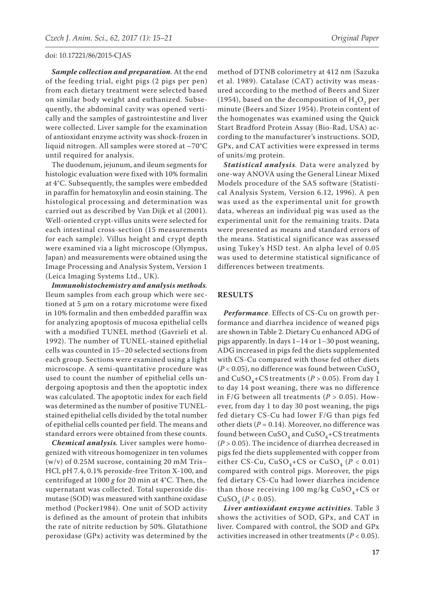*Sample collection and preparation.* At the end of the feeding trial, eight pigs (2 pigs per pen) from each dietary treatment were selected based on similar body weight and euthanized. Subsequently, the abdominal cavity was opened vertically and the samples of gastrointestine and liver were collected. Liver sample for the examination of antioxidant enzyme activity was shock-frozen in liquid nitrogen. All samples were stored at –70°C until required for analysis.

The duodenum, jejunum, and ileum segments for histologic evaluation were fixed with 10% formalin at 4°C. Subsequently, the samples were embedded in paraffin for hematoxylin and eosin staining. The histological processing and determination was carried out as described by Van Dijk et al (2001). Well-oriented crypt-villus units were selected for each intestinal cross-section (15 measurements for each sample). Villus height and crypt depth were examined via a light microscope (Olympus, Japan) and measurements were obtained using the Image Processing and Analysis System, Version 1 (Leica Imaging Systems Ltd., UK).

*Immunohistochemistry and analysis methods.* Ileum samples from each group which were sectioned at 5 μm on a rotary microtome were fixed in 10% formalin and then embedded paraffin wax for analyzing apoptosis of mucosa epithelial cells with a modified TUNEL method (Gavrieli et al. 1992). The number of TUNEL-stained epithelial cells was counted in 15–20 selected sections from each group. Sections were examined using a light microscope. A semi-quantitative procedure was used to count the number of epithelial cells undergoing apoptosis and then the apoptotic index was calculated. The apoptotic index for each field was determined as the number of positive TUNELstained epithelial cells divided by the total number of epithelial cells counted per field. The means and standard errors were obtained from these counts.

*Chemical analysis.* Liver samples were homogenized with vitreous homogenizer in ten volumes (w/v) of 0.25M sucrose, containing 20 mM Tris– HCl, pH 7.4, 0.1% peroxide-free Triton X-100, and centrifuged at 1000 *g* for 20 min at 4°C. Then, the supernatant was collected. Total superoxide dismutase (SOD) was measured with xanthine oxidase method (Pocker1984). One unit of SOD activity is defined as the amount of protein that inhibits the rate of nitrite reduction by 50%. Glutathione peroxidase (GPx) activity was determined by the

method of DTNB colorimetry at 412 nm (Sazuka et al. 1989). Catalase (CAT) activity was measured according to the method of Beers and Sizer (1954), based on the decomposition of  $H_2O_2$  per minute (Beers and Sizer 1954). Protein content of the homogenates was examined using the Quick Start Bradford Protein Assay (Bio-Rad, USA) according to the manufacturer's instructions. SOD, GPx, and CAT activities were expressed in terms of units/mg protein.

*Statistical analysis.* Data were analyzed by one-way ANOVA using the General Linear Mixed Models procedure of the SAS software (Statistical Analysis System, Version 6.12, 1996). A pen was used as the experimental unit for growth data, whereas an individual pig was used as the experimental unit for the remaining traits. Data were presented as means and standard errors of the means. Statistical significance was assessed using Tukey's HSD test. An alpha level of 0.05 was used to determine statistical significance of differences between treatments.

## **RESULTS**

*Performance*. Effects of CS-Cu on growth performance and diarrhea incidence of weaned pigs are shown in Table 2. Dietary Cu enhanced ADG of pigs apparently. In days 1–14 or 1–30 post weaning, ADG increased in pigs fed the diets supplemented with CS-Cu compared with those fed other diets ( $P$  < 0.05), no difference was found between  $CuSO_4$ and  $CuSO<sub>4</sub>+CS$  treatments ( $P > 0.05$ ). From day 1 to day 14 post weaning, there was no difference in F/G between all treatments ( $P > 0.05$ ). However, from day 1 to day 30 post weaning, the pigs fed dietary CS-Cu had lower F/G than pigs fed other diets  $(P = 0.14)$ . Moreover, no difference was found between  $CuSO<sub>4</sub>$  and  $CuSO<sub>4</sub>+CS$  treatments (*P* > 0.05). The incidence of diarrhea decreased in pigs fed the diets supplemented with copper from either CS-Cu,  $CuSO_4+CS$  or  $CuSO_4$  ( $P < 0.01$ ) compared with control pigs. Moreover, the pigs fed dietary CS-Cu had lower diarrhea incidence than those receiving 100 mg/kg  $CuSO<sub>4</sub>+CS$  or CuSO<sub>4</sub> (*P* < 0.05).

*Liver antioxidant enzyme activities*. Table 3 shows the activities of SOD, GPx, and CAT in liver. Compared with control, the SOD and GPx activities increased in other treatments (*P* < 0.05).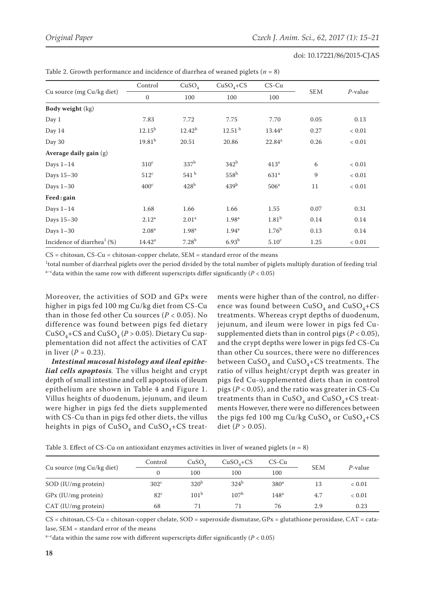| Cu source (mg Cu/kg diet)                 | Control           | CuSO <sub>4</sub> | $CuSO4+CS$         | $CS$ -Cu          |            |            |  |
|-------------------------------------------|-------------------|-------------------|--------------------|-------------------|------------|------------|--|
|                                           | $\mathbf{0}$      | 100               | 100                | 100               | SEM        | $P$ -value |  |
| <b>Body weight (kg)</b>                   |                   |                   |                    |                   |            |            |  |
| Day 1                                     | 7.83              | 7.72              | 7.75               | 7.70              | 0.05       | 0.13       |  |
| Day 14                                    | $12.15^{b}$       | $12.42^{b}$       | 12.51 <sup>b</sup> | $13.44^a$         | 0.27       | < 0.01     |  |
| Day 30                                    | $19.81^{b}$       | 20.51             | 20.86              | $22.84^a$         | 0.26       | < 0.01     |  |
| Average daily gain $(g)$                  |                   |                   |                    |                   |            |            |  |
| Days $1-14$                               | $310^{\circ}$     | 337 <sup>b</sup>  | 342 <sup>b</sup>   | 413 <sup>a</sup>  | $\sqrt{6}$ | < 0.01     |  |
| Days 15-30                                | $512^{\circ}$     | 541 <sup>b</sup>  | $558^{\rm b}$      | 631 <sup>a</sup>  | 9          | < 0.01     |  |
| Days $1-30$                               | 400 <sup>c</sup>  | 428 <sup>b</sup>  | 439 <sup>b</sup>   | 506 <sup>a</sup>  | 11         | < 0.01     |  |
| Feed: gain                                |                   |                   |                    |                   |            |            |  |
| Days $1-14$                               | 1.68              | 1.66              | 1.66               | 1.55              | 0.07       | 0.31       |  |
| Days 15-30                                | 2.12 <sup>a</sup> | 2.01 <sup>a</sup> | 1.98 <sup>a</sup>  | 1.81 <sup>b</sup> | 0.14       | 0.14       |  |
| Days $1-30$                               | 2.08 <sup>a</sup> | 1.98 <sup>a</sup> | 1.94 <sup>a</sup>  | $1.76^{b}$        | 0.13       | 0.14       |  |
| Incidence of diarrhea <sup>1</sup> $(\%)$ | $14.42^a$         | $7.28^{b}$        | 6.93 <sup>b</sup>  | 5.10 <sup>c</sup> | 1.25       | < 0.01     |  |

Table 2. Growth performance and incidence of diarrhea of weaned piglets ( $n = 8$ )

 $CS =$  chitosan,  $CS-Cu =$  chitosan-copper chelate,  $SEM =$  standard error of the means

 $1$ total number of diarrheal piglets over the period divided by the total number of piglets multiply duration of feeding trial a<sup>-c</sup>data within the same row with different superscripts differ significantly ( $P < 0.05$ )

Moreover, the activities of SOD and GPx were higher in pigs fed 100 mg Cu/kg diet from CS-Cu than in those fed other Cu sources (*P* < 0.05). No difference was found between pigs fed dietary CuSO<sub>4</sub>+CS and CuSO<sub>4</sub> ( $P > 0.05$ ). Dietary Cu supplementation did not affect the activities of CAT in liver  $(P = 0.23)$ .

*Intestinal mucosal histology and ileal epithelial cells apoptosis.* The villus height and crypt depth of small intestine and cell apoptosis of ileum epithelium are shown in Table 4 and Figure 1. Villus heights of duodenum, jejunum, and ileum were higher in pigs fed the diets supplemented with CS-Cu than in pigs fed other diets, the villus heights in pigs of  $CuSO<sub>4</sub>$  and  $CuSO<sub>4</sub>+CS$  treat-

ments were higher than of the control, no difference was found between  $CuSO_4$  and  $CuSO_4+CSO_4$ treatments. Whereas crypt depths of duodenum, jejunum, and ileum were lower in pigs fed Cusupplemented diets than in control pigs  $(P < 0.05)$ , and the crypt depths were lower in pigs fed CS-Cu than other Cu sources, there were no differences between  $CuSO<sub>4</sub>$  and  $CuSO<sub>4</sub>+CS$  treatments. The ratio of villus height/crypt depth was greater in pigs fed Cu-supplemented diets than in control pigs (*P* < 0.05), and the ratio was greater in CS-Cu treatments than in  $CuSO<sub>4</sub>$  and  $CuSO<sub>4</sub>+CS$  treatments However, there were no differences between the pigs fed 100 mg Cu/kg CuSO<sub>4</sub> or CuSO<sub>4</sub>+CS diet ( $P > 0.05$ ).

Table 3. Effect of CS-Cu on antioxidant enzymes activities in liver of weaned piglets ( $n = 8$ )

| Cu source (mg Cu/kg diet) | Control       | CuSO <sub>4</sub> | $CuSO4+CS$       | $CS$ -Cu         | <b>SEM</b> | P-value    |
|---------------------------|---------------|-------------------|------------------|------------------|------------|------------|
|                           |               | 100               | 100              | 100              |            |            |
| SOD (IU/mg protein)       | $302^{\circ}$ | 320 <sup>b</sup>  | 324 <sup>b</sup> | 380 <sup>a</sup> | 13         | ${}< 0.01$ |
| GPx (IU/mg protein)       | $82^{\circ}$  | 101 <sup>b</sup>  | 107 <sup>b</sup> | $148^{\rm a}$    | 4.7        | ${}< 0.01$ |
| CAT (IU/mg protein)       | 68            | 71                |                  | 76               | 2.9        | 0.23       |

CS = chitosan,CS-Cu = chitosan-copper chelate, SOD = superoxide dismutase, GPx = glutathione peroxidase, CAT = catalase, SEM = standard error of the means

a<sup>-c</sup>data within the same row with different superscripts differ significantly ( $P < 0.05$ )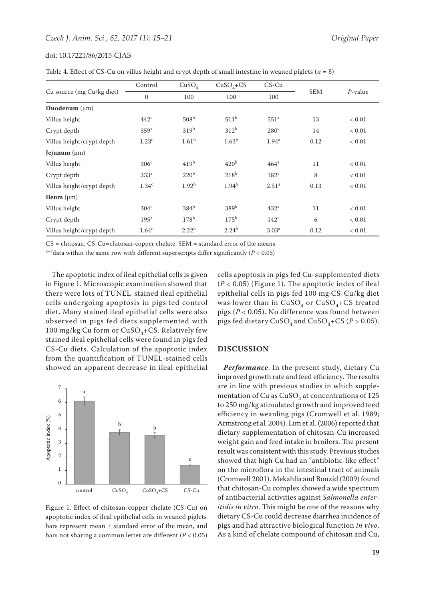|  |  | Table 4. Effect of CS-Cu on villus height and crypt depth of small intestine in weaned piglets ( $n = 8$ ) |
|--|--|------------------------------------------------------------------------------------------------------------|
|--|--|------------------------------------------------------------------------------------------------------------|

| Cu source (mg Cu/kg diet) | Control           | CuSO <sub>4</sub> | $CuSO4+CS$        | $CS$ -Cu          | <b>SEM</b> |            |
|---------------------------|-------------------|-------------------|-------------------|-------------------|------------|------------|
|                           | $\mathbf{0}$      | 100               | 100               | 100               |            | $P$ -value |
| Duodenum $(\mu m)$        |                   |                   |                   |                   |            |            |
| Villus height             | $442^{\circ}$     | 508 <sup>b</sup>  | 511 <sup>b</sup>  | 551 <sup>a</sup>  | 13         | ${}< 0.01$ |
| Crypt depth               | 359 <sup>a</sup>  | 319 <sup>b</sup>  | 312 <sup>b</sup>  | $280^{\circ}$     | 14         | ${}< 0.01$ |
| Villus height/crypt depth | 1.23 <sup>c</sup> | 1.61 <sup>b</sup> | 1.63 <sup>b</sup> | $1.94^{\rm a}$    | 0.12       | ${}< 0.01$ |
| Jejunum $(\mu m)$         |                   |                   |                   |                   |            |            |
| Villus height             | 306 <sup>c</sup>  | 419 <sup>b</sup>  | 420 <sup>b</sup>  | $464^a$           | 11         | < 0.01     |
| Crypt depth               | 233 <sup>a</sup>  | 220 <sup>b</sup>  | 218 <sup>b</sup>  | $182^{\circ}$     | 8          | < 0.01     |
| Villus height/crypt depth | 1.34 <sup>c</sup> | 1.92 <sup>b</sup> | $1.94^{b}$        | 2.51 <sup>a</sup> | 0.13       | < 0.01     |
| <b>Ileum</b> $(\mu m)$    |                   |                   |                   |                   |            |            |
| Villus height             | 304 <sup>c</sup>  | $384^b$           | 389 <sup>b</sup>  | 432 <sup>a</sup>  | 11         | < 0.01     |
| Crypt depth               | 195 <sup>a</sup>  | 178 <sup>b</sup>  | $175^{\rm b}$     | $142^{\circ}$     | 6          | < 0.01     |
| Villus height/crypt depth | 1.64 <sup>c</sup> | $2.22^{b}$        | $2.24^{b}$        | 3.03 <sup>a</sup> | 0.12       | ${}< 0.01$ |

CS = chitosan, CS-Cu=chitosan-copper chelate, SEM = standard error of the means

a<sup>-c</sup>data within the same row with different superscripts differ significantly ( $P < 0.05$ )

The apoptotic index of ileal epithelial cells is given in Figure 1. Microscopic examination showed that there were lots of TUNEL-stained ileal epithelial cells undergoing apoptosis in pigs fed control diet. Many stained ileal epithelial cells were also observed in pigs fed diets supplemented with 100 mg/kg Cu form or  $CuSO_4+CS$ . Relatively few stained ileal epithelial cells were found in pigs fed CS-Cu diets. Calculation of the apoptotic index from the quantification of TUNEL-stained cells showed an apparent decrease in ileal epithelial



Figure 1. Effect of chitosan-copper chelate (CS-Cu) on apoptotic index of ileal epithelial cells in weaned piglets bars represent mean  $\pm$  standard error of the mean, and bars not sharing a common letter are different (*P* < 0.05)

cells apoptosis in pigs fed Cu-supplemented diets (*P* < 0.05) (Figure 1). The apoptotic index of ileal epithelial cells in pigs fed 100 mg CS-Cu/kg diet was lower than in  $CuSO<sub>4</sub>$  or  $CuSO<sub>4</sub>+CS$  treated pigs (*P* < 0.05). No difference was found between pigs fed dietary CuSO<sub>4</sub> and CuSO<sub>4</sub>+CS ( $P > 0.05$ ).

## **DISCUSSION**

*Performance*. In the present study, dietary Cu improved growth rate and feed efficiency. The results are in line with previous studies in which supplementation of Cu as  $CuSO<sub>4</sub>$  at concentrations of 125 to 250 mg/kg stimulated growth and improved feed efficiency in weanling pigs (Cromwell et al. 1989; Armstrong et al. 2004). Lim et al. (2006) reported that dietary supplementation of chitosan-Cu increased weight gain and feed intake in broilers. The present result was consistent with this study. Previous studies showed that high Cu had an "antibiotic-like effect" on the microflora in the intestinal tract of animals (Cromwell 2001). Mekahlia and Bouzid (2009) found that chitosan-Cu complex showed a wide spectrum of antibacterial activities against *Salmonella enteritidis in vitro*. This might be one of the reasons why dietary CS-Cu could decrease diarrhea incidence of pigs and had attractive biological function *in vivo*. As a kind of chelate compound of chitosan and Cu,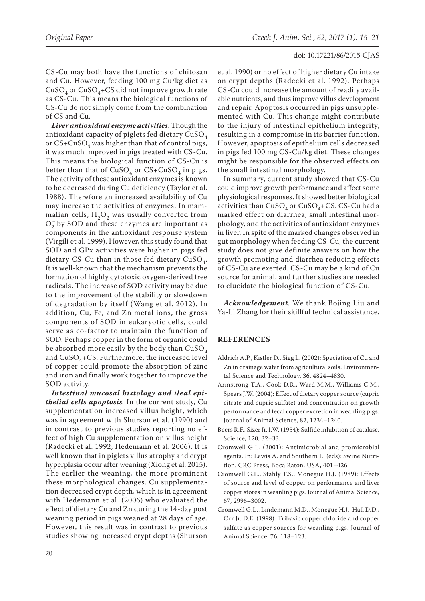CS-Cu may both have the functions of chitosan and Cu. However, feeding 100 mg Cu/kg diet as  $CuSO<sub>4</sub>$  or  $CuSO<sub>4</sub>+CS$  did not improve growth rate as CS-Cu. This means the biological functions of CS-Cu do not simply come from the combination of CS and Cu.

*Liver antioxidant enzyme activities*. Though the antioxidant capacity of piglets fed dietary  $CuSO<sub>4</sub>$ or  $CS+CuSO<sub>4</sub>$  was higher than that of control pigs, it was much improved in pigs treated with CS-Cu. This means the biological function of CS-Cu is better than that of  $CuSO<sub>4</sub>$  or  $CS+CuSO<sub>4</sub>$  in pigs. The activity of these antioxidant enzymes is known to be decreased during Cu deficiency (Taylor et al. 1988). Therefore an increased availability of Cu may increase the activities of enzymes. In mammalian cells,  $H_2O_2$  was usually converted from  $O_2^-$  by SOD and these enzymes are important as components in the antioxidant response system (Virgili et al. 1999). However, this study found that SOD and GPx activities were higher in pigs fed dietary CS-Cu than in those fed dietary  $CuSO<sub>4</sub>$ . It is well-known that the mechanism prevents the formation of highly cytotoxic oxygen-derived free radicals. The increase of SOD activity may be due to the improvement of the stability or slowdown of degradation by itself (Wang et al. 2012). In addition, Cu, Fe, and Zn metal ions, the gross components of SOD in eukaryotic cells, could serve as co-factor to maintain the function of SOD. Perhaps copper in the form of organic could be absorbed more easily by the body than  $CuSO<sub>4</sub>$ and  $CuSO<sub>4</sub>+CS$ . Furthermore, the increased level of copper could promote the absorption of zinc and iron and finally work together to improve the SOD activity.

*Intestinal mucosal histology and ileal epithelial cells apoptosis.* In the current study, Cu supplementation increased villus height, which was in agreement with Shurson et al. (1990) and in contrast to previous studies reporting no effect of high Cu supplementation on villus height (Radecki et al. 1992; Hedemann et al. 2006). It is well known that in piglets villus atrophy and crypt hyperplasia occur after weaning (Xiong et al. 2015). The earlier the weaning, the more prominent these morphological changes. Cu supplementation decreased crypt depth, which is in agreement with Hedemann et al. (2006) who evaluated the effect of dietary Cu and Zn during the 14-day post weaning period in pigs weaned at 28 days of age. However, this result was in contrast to previous studies showing increased crypt depths (Shurson

et al. 1990) or no effect of higher dietary Cu intake on crypt depths (Radecki et al. 1992). Perhaps CS-Cu could increase the amount of readily available nutrients, and thus improve villus development and repair. Apoptosis occurred in pigs unsupplemented with Cu. This change might contribute to the injury of intestinal epithelium integrity, resulting in a compromise in its barrier function. However, apoptosis of epithelium cells decreased in pigs fed 100 mg CS-Cu/kg diet. These changes might be responsible for the observed effects on the small intestinal morphology.

In summary, current study showed that CS-Cu could improve growth performance and affect some physiological responses. It showed better biological activities than  $CuSO<sub>4</sub>$  or  $CuSO<sub>4</sub>+CS$ . CS-Cu had a marked effect on diarrhea, small intestinal morphology, and the activities of antioxidant enzymes in liver. In spite of the marked changes observed in gut morphology when feeding CS-Cu, the current study does not give definite answers on how the growth promoting and diarrhea reducing effects of CS-Cu are exerted. CS-Cu may be a kind of Cu source for animal, and further studies are needed to elucidate the biological function of CS-Cu.

*Acknowledgement.* We thank Bojing Liu and Ya-Li Zhang for their skillful technical assistance.

# **REFERENCES**

- Aldrich A.P., Kistler D., Sigg L. (2002): Speciation of Cu and Zn in drainage water from agricultural soils. Environmental Science and Technology, 36, 4824–4830.
- Armstrong T.A., Cook D.R., Ward M.M., Williams C.M., Spears J.W. (2004): Effect of dietary copper source (cupric citrate and cupric sulfate) and concentration on growth performance and fecal copper excretion in weanling pigs. Journal of Animal Science, 82, 1234–1240.
- Beers R.F., Sizer Jr. I.W. (1954): Sulfide inhibition of catalase. Science, 120, 32–33.
- Cromwell G.L. (2001): Antimicrobial and promicrobial agents. In: Lewis A. and Southern L. (eds): Swine Nutrition. CRC Press, Boca Raton, USA, 401–426.
- Cromwell G.L., Stahly T.S., Monegue H.J. (1989): Effects of source and level of copper on performance and liver copper stores in weanling pigs. Journal of Animal Science, 67, 2996–3002.
- Cromwell G.L., Lindemann M.D., Monegue H.J., Hall D.D., Orr Jr. D.E. (1998): Tribasic copper chloride and copper sulfate as copper sources for weanling pigs. Journal of Animal Science, 76, 118–123.